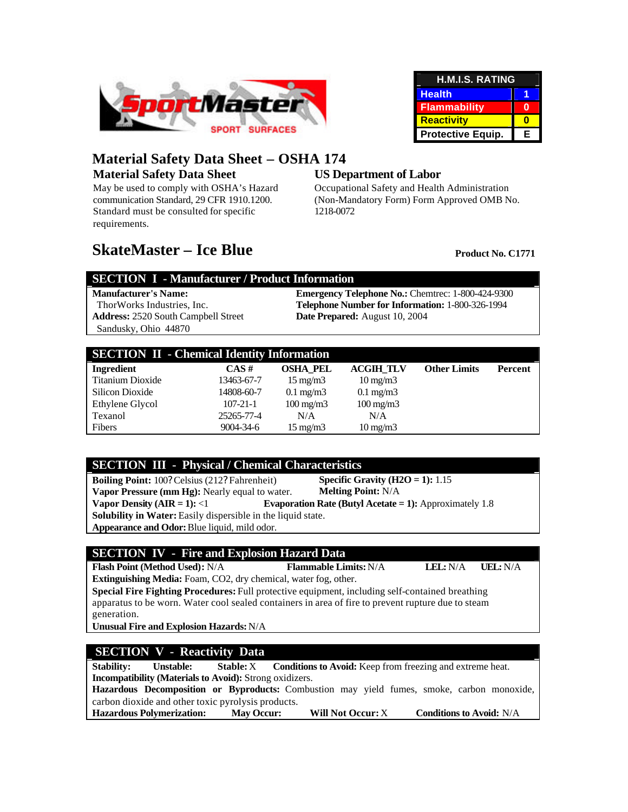

| <b>H.M.I.S. RATING</b> |   |  |  |
|------------------------|---|--|--|
| <b>Health</b>          |   |  |  |
| <b>Flammability</b>    |   |  |  |
| <b>Reactivity</b>      |   |  |  |
| Protective Equip.      | E |  |  |

## **Material Safety Data Sheet – OSHA 174 Material Safety Data Sheet**

May be used to comply with OSHA's Hazard communication Standard, 29 CFR 1910.1200. Standard must be consulted for specific requirements.

### **US Department of Labor**

Occupational Safety and Health Administration (Non-Mandatory Form) Form Approved OMB No. 1218-0072

# **SkateMaster – Ice Blue** Product No. C1771

#### **SECTION I - Manufacturer / Product Information**

**Address:** 2520 South Campbell Street Sandusky, Ohio 44870

**Manufacturer's Name: Emergency Telephone No.:** Chemtrec: 1-800-424-9300 ThorWorks Industries, Inc. **Telephone Number for Information:** 1-800-326-1994 **Date Prepared:** August 10, 2004

|                   | <b>SECTION II - Chemical Identity Information</b> |                    |                    |                     |         |
|-------------------|---------------------------------------------------|--------------------|--------------------|---------------------|---------|
| <b>Ingredient</b> | $CAS \#$                                          | <b>OSHA PEL</b>    | <b>ACGIH TLV</b>   | <b>Other Limits</b> | Percent |
| Titanium Dioxide  | 13463-67-7                                        | $15 \text{ mg/m}$  | $10 \text{ mg/m}$  |                     |         |
| Silicon Dioxide   | 14808-60-7                                        | $0.1 \text{ mg/m}$ | $0.1 \text{ mg/m}$ |                     |         |
| Ethylene Glycol   | $107 - 21 - 1$                                    | $100 \text{ mg/m}$ | $100 \text{ mg/m}$ |                     |         |
| Texanol           | 25265-77-4                                        | N/A                | N/A                |                     |         |
| Fibers            | 9004-34-6                                         | $15 \text{ mg/m}$  | $10 \text{ mg/m}$  |                     |         |

#### **SECTION III - Physical / Chemical Characteristics**

**Boiling Point:** 100? Celsius (212? Fahrenheit) **Vapor Pressure (mm Hg):** Nearly equal to water. **Specific Gravity (H2O = 1):** 1.15 **Melting Point:** N/A **Vapor Density (AIR = 1):** <1 **Evaporation Rate (Butyl Acetate = 1):** Approximately 1.8 **Solubility in Water:** Easily dispersible in the liquid state. **Appearance and Odor:** Blue liquid, mild odor.

#### **SECTION IV - Fire and Explosion Hazard Data**

**Flash Point (Method Used):** N/A **Flammable Limits:** N/A **LEL:** N/A **UEL:** N/A **Extinguishing Media:** Foam, CO2, dry chemical, water fog, other.

**Special Fire Fighting Procedures:** Full protective equipment, including self-contained breathing apparatus to be worn. Water cool sealed containers in area of fire to prevent rupture due to steam generation.

**Unusual Fire and Explosion Hazards:** N/A

#### **SECTION V - Reactivity Data**

**Stability:** Unstable: Stable: X Conditions to Avoid: Keep from freezing and extreme heat. **Incompatibility (Materials to Avoid):** Strong oxidizers.

**Hazardous Decomposition or Byproducts:** Combustion may yield fumes, smoke, carbon monoxide, carbon dioxide and other toxic pyrolysis products.

**Hazardous Polymerization: May Occur: Will Not Occur:** X **Conditions to Avoid:** N/A